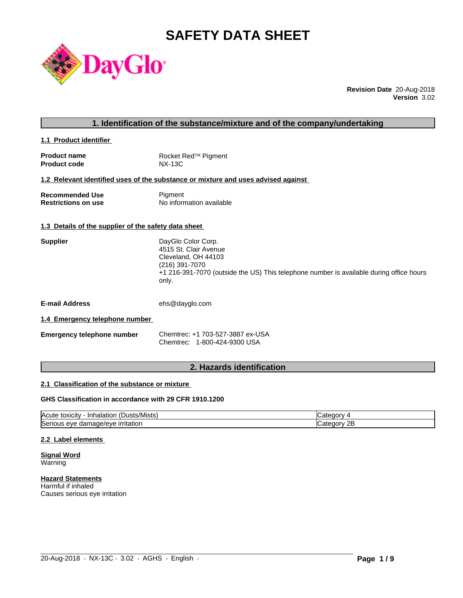# **SAFETY DATA SHEET**



**Revision Date** 20-Aug-2018 **Version** 3.02

# **1. Identification of the substance/mixture and of the company/undertaking**

**1.1 Product identifier** 

| <b>Product name</b> | Rocket Red <sup>™</sup> Pigment |
|---------------------|---------------------------------|
| <b>Product code</b> | NX-13C                          |

#### **1.2 Relevant identified uses of the substance or mixture and uses advised against**

| <b>Recommended Use</b>     | Pigment                  |
|----------------------------|--------------------------|
| <b>Restrictions on use</b> | No information available |

#### **1.3 Details of the supplier of the safety data sheet**

| <b>Supplier</b> | DayGlo Color Corp.                                                                      |
|-----------------|-----------------------------------------------------------------------------------------|
|                 | 4515 St. Clair Avenue                                                                   |
|                 | Cleveland, OH 44103                                                                     |
|                 | (216) 391-7070                                                                          |
|                 | +1 216-391-7070 (outside the US) This telephone number is available during office hours |
|                 | only.                                                                                   |
|                 |                                                                                         |
|                 |                                                                                         |

**E-mail Address** ehs@dayglo.com

# **1.4 Emergency telephone number**

| <b>Emergency telephone number</b> | Chemtrec: +1 703-527-3887 ex-USA |
|-----------------------------------|----------------------------------|
|                                   | Chemtrec: 1-800-424-9300 USA     |

# **2. Hazards identification**

### **2.1 Classification of the substance or mixture**

# **GHS Classification in accordance with 29 CFR 1910.1200**

| $\cdots$<br><b>IAcute</b><br>ete/Micte<br>Dusts/N<br>. Inhalation<br>toxicit<br>בוסוועו | עזרזר                  |
|-----------------------------------------------------------------------------------------|------------------------|
| ∽<br><b>irritation</b><br>nane/eve<br>rı ص<br>. eve<br>паг                              | ∩г<br>עזנונו<br>ᅩ<br>ຼ |

 $\_$  ,  $\_$  ,  $\_$  ,  $\_$  ,  $\_$  ,  $\_$  ,  $\_$  ,  $\_$  ,  $\_$  ,  $\_$  ,  $\_$  ,  $\_$  ,  $\_$  ,  $\_$  ,  $\_$  ,  $\_$  ,  $\_$  ,  $\_$  ,  $\_$  ,  $\_$  ,  $\_$  ,  $\_$  ,  $\_$  ,  $\_$  ,  $\_$  ,  $\_$  ,  $\_$  ,  $\_$  ,  $\_$  ,  $\_$  ,  $\_$  ,  $\_$  ,  $\_$  ,  $\_$  ,  $\_$  ,  $\_$  ,  $\_$  ,

#### **2.2 Label elements**

**Signal Word** Warning

**Hazard Statements** Harmful if inhaled Causes serious eye irritation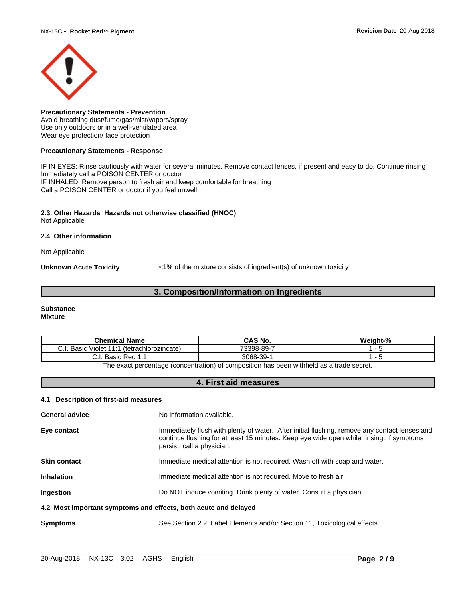

**Precautionary Statements - Prevention** Avoid breathing dust/fume/gas/mist/vapors/spray Use only outdoors or in a well-ventilated area Wear eye protection/ face protection

#### **Precautionary Statements - Response**

IF IN EYES: Rinse cautiously with water for several minutes. Remove contact lenses, if present and easy to do. Continue rinsing Immediately call a POISON CENTER or doctor IF INHALED: Remove person to fresh air and keep comfortable for breathing Call a POISON CENTER or doctor if you feel unwell

#### **2.3. Other Hazards Hazards not otherwise classified (HNOC)**

Not Applicable

#### **2.4 Other information**

Not Applicable

**Unknown Acute Toxicity**  $\langle 1\%$  of the mixture consists of ingredient(s) of unknown toxicity

# **3. Composition/Information on Ingredients**

# **Substance**

**Mixture**

| <b>Chemical Name</b>                                  | <b>CAS No.</b>             | n.<br>.<br>Weiaht-% |
|-------------------------------------------------------|----------------------------|---------------------|
| .<br>(tetrachlorozincate)<br>Basic<br>Violet<br>◡ ・・・ | 73398-89-7                 |                     |
| $-1.4$<br>. Basir i<br>Red<br>◡…                      | $3068 -$<br>$\sim$<br>-39- |                     |

The exact percentage (concentration) of composition has been withheld as a trade secret.

# **4. First aid measures**

# **4.1 Description of first-aid measures**

| <b>General advice</b>                                           | No information available.                                                                                                                                                                                               |  |  |
|-----------------------------------------------------------------|-------------------------------------------------------------------------------------------------------------------------------------------------------------------------------------------------------------------------|--|--|
| Eye contact                                                     | Immediately flush with plenty of water. After initial flushing, remove any contact lenses and<br>continue flushing for at least 15 minutes. Keep eye wide open while rinsing. If symptoms<br>persist, call a physician. |  |  |
| <b>Skin contact</b>                                             | Immediate medical attention is not required. Wash off with soap and water.                                                                                                                                              |  |  |
| <b>Inhalation</b>                                               | Immediate medical attention is not required. Move to fresh air.                                                                                                                                                         |  |  |
| Ingestion                                                       | Do NOT induce vomiting. Drink plenty of water. Consult a physician.                                                                                                                                                     |  |  |
| 4.2 Most important symptoms and effects, both acute and delayed |                                                                                                                                                                                                                         |  |  |
| <b>Symptoms</b>                                                 | See Section 2.2, Label Elements and/or Section 11, Toxicological effects.                                                                                                                                               |  |  |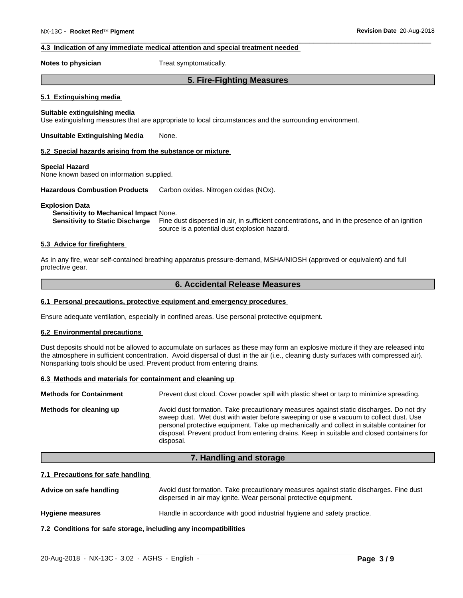# **4.3 Indication of any immediate medical attention and special treatment needed**

**Notes to physician** Treat symptomatically.

# **5. Fire-Fighting Measures**

#### **5.1 Extinguishing media**

#### **Suitable extinguishing media**

Use extinguishing measures that are appropriate to local circumstances and the surrounding environment.

**Unsuitable Extinguishing Media** None.

#### **5.2 Special hazards arising from the substance or mixture**

#### **Special Hazard**

None known based on information supplied.

**Hazardous Combustion Products** Carbon oxides. Nitrogen oxides (NOx).

#### **Explosion Data**

#### **Sensitivity to Mechanical Impact** None.

**Sensitivity to Static Discharge** Fine dust dispersed in air, in sufficient concentrations, and in the presence of an ignition source is a potential dust explosion hazard.

#### **5.3 Advice for firefighters**

As in any fire, wear self-contained breathing apparatus pressure-demand, MSHA/NIOSH (approved or equivalent) and full protective gear.

# **6. Accidental Release Measures**

#### **6.1 Personal precautions, protective equipment and emergency procedures**

Ensure adequate ventilation, especially in confined areas. Use personal protective equipment.

#### **6.2 Environmental precautions**

Dust deposits should not be allowed to accumulate on surfaces as these may form an explosive mixture if they are released into the atmosphere in sufficient concentration. Avoid dispersal of dust in the air (i.e., cleaning dusty surfaces with compressed air). Nonsparking tools should be used. Prevent product from entering drains.

#### **6.3 Methods and materials for containment and cleaning up**

| <b>Methods for Containment</b> | Prevent dust cloud. Cover powder spill with plastic sheet or tarp to minimize spreading.                                                                                                                                                                                                                                                                                                |
|--------------------------------|-----------------------------------------------------------------------------------------------------------------------------------------------------------------------------------------------------------------------------------------------------------------------------------------------------------------------------------------------------------------------------------------|
| Methods for cleaning up        | Avoid dust formation. Take precautionary measures against static discharges. Do not dry<br>sweep dust. Wet dust with water before sweeping or use a vacuum to collect dust. Use<br>personal protective equipment. Take up mechanically and collect in suitable container for<br>disposal. Prevent product from entering drains. Keep in suitable and closed containers for<br>disposal. |

### **7. Handling and storage**

#### **7.1 Precautions for safe handling**

Advice on safe handling **Avoid dust formation. Take precautionary measures against static discharges. Fine dust** dispersed in air may ignite. Wear personal protective equipment.

 $\_$  ,  $\_$  ,  $\_$  ,  $\_$  ,  $\_$  ,  $\_$  ,  $\_$  ,  $\_$  ,  $\_$  ,  $\_$  ,  $\_$  ,  $\_$  ,  $\_$  ,  $\_$  ,  $\_$  ,  $\_$  ,  $\_$  ,  $\_$  ,  $\_$  ,  $\_$  ,  $\_$  ,  $\_$  ,  $\_$  ,  $\_$  ,  $\_$  ,  $\_$  ,  $\_$  ,  $\_$  ,  $\_$  ,  $\_$  ,  $\_$  ,  $\_$  ,  $\_$  ,  $\_$  ,  $\_$  ,  $\_$  ,  $\_$  ,

**Hygiene measures** Handle in accordance with good industrial hygiene and safety practice.

**7.2 Conditions for safe storage, including any incompatibilities**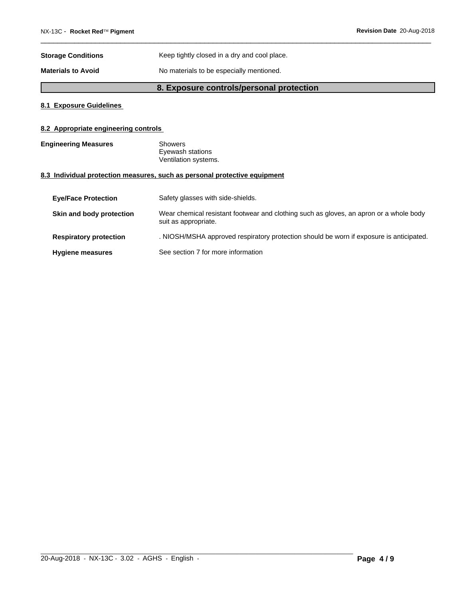# **Storage Conditions** Keep tightly closed in a dry and cool place.

**Materials to Avoid** No materials to be especially mentioned.

# **8. Exposure controls/personal protection**

# **8.1 Exposure Guidelines**

# **8.2 Appropriate engineering controls**

**Engineering Measures** Showers Eyewash stations Ventilation systems.

# **8.3 Individual protection measures, such as personal protective equipment**

| <b>Eye/Face Protection</b>    | Safety glasses with side-shields.                                                                              |
|-------------------------------|----------------------------------------------------------------------------------------------------------------|
| Skin and body protection      | Wear chemical resistant footwear and clothing such as gloves, an apron or a whole body<br>suit as appropriate. |
| <b>Respiratory protection</b> | . NIOSH/MSHA approved respiratory protection should be worn if exposure is anticipated.                        |
| <b>Hygiene measures</b>       | See section 7 for more information                                                                             |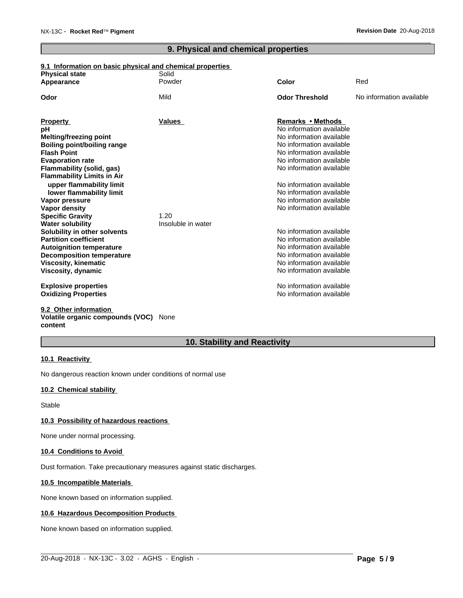# **9. Physical and chemical properties**

# **9.1 Information on basic physical and chemical properties**

| <b>Physical state</b>              | Solid              |                          |                          |
|------------------------------------|--------------------|--------------------------|--------------------------|
| Appearance                         | Powder             | Color                    | Red                      |
| Odor                               | Mild               | <b>Odor Threshold</b>    | No information available |
|                                    |                    |                          |                          |
| <b>Property</b>                    | Values             | Remarks • Methods        |                          |
| рH                                 |                    | No information available |                          |
| <b>Melting/freezing point</b>      |                    | No information available |                          |
| <b>Boiling point/boiling range</b> |                    | No information available |                          |
| <b>Flash Point</b>                 |                    | No information available |                          |
| <b>Evaporation rate</b>            |                    | No information available |                          |
| Flammability (solid, gas)          |                    | No information available |                          |
| <b>Flammability Limits in Air</b>  |                    |                          |                          |
| upper flammability limit           |                    | No information available |                          |
| lower flammability limit           |                    | No information available |                          |
| Vapor pressure                     |                    | No information available |                          |
| Vapor density                      |                    | No information available |                          |
| <b>Specific Gravity</b>            | 1.20               |                          |                          |
| <b>Water solubility</b>            | Insoluble in water |                          |                          |
| Solubility in other solvents       |                    | No information available |                          |
| <b>Partition coefficient</b>       |                    | No information available |                          |
| <b>Autoignition temperature</b>    |                    | No information available |                          |
| <b>Decomposition temperature</b>   |                    | No information available |                          |
| <b>Viscosity, kinematic</b>        |                    | No information available |                          |
| Viscosity, dynamic                 |                    | No information available |                          |
| <b>Explosive properties</b>        |                    | No information available |                          |
| <b>Oxidizing Properties</b>        |                    | No information available |                          |
| 9.2 Other information              |                    |                          |                          |

# **Volatile organic compounds (VOC)** None **content**

# **10. Stability and Reactivity**

 $\_$  ,  $\_$  ,  $\_$  ,  $\_$  ,  $\_$  ,  $\_$  ,  $\_$  ,  $\_$  ,  $\_$  ,  $\_$  ,  $\_$  ,  $\_$  ,  $\_$  ,  $\_$  ,  $\_$  ,  $\_$  ,  $\_$  ,  $\_$  ,  $\_$  ,  $\_$  ,  $\_$  ,  $\_$  ,  $\_$  ,  $\_$  ,  $\_$  ,  $\_$  ,  $\_$  ,  $\_$  ,  $\_$  ,  $\_$  ,  $\_$  ,  $\_$  ,  $\_$  ,  $\_$  ,  $\_$  ,  $\_$  ,  $\_$  ,

#### **10.1 Reactivity**

No dangerous reaction known under conditions of normal use

# **10.2 Chemical stability**

Stable

#### **10.3 Possibility of hazardous reactions**

None under normal processing.

#### **10.4 Conditions to Avoid**

Dust formation. Take precautionary measures against static discharges.

#### **10.5 Incompatible Materials**

None known based on information supplied.

#### **10.6 Hazardous Decomposition Products**

None known based on information supplied.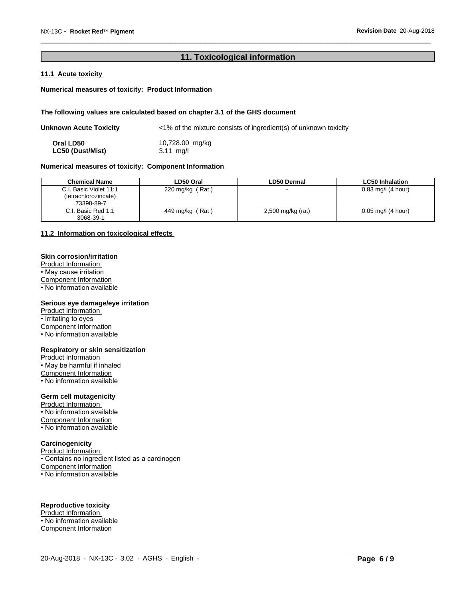# **11. Toxicological information**

# **11.1 Acute toxicity**

#### **Numerical measures of toxicity: Product Information**

#### **The following values are calculated based on chapter 3.1 of the GHS document**

| Unknown Acute Toxicity  | $\langle 1\%$ of the mixture consists of ingredient(s) of unknown toxicity |
|-------------------------|----------------------------------------------------------------------------|
| Oral LD50               | 10,728.00 mg/kg                                                            |
| <b>LC50 (Dust/Mist)</b> | $3.11 \text{ mq/l}$                                                        |

# **Numerical measures of toxicity: Component Information**

| <b>Chemical Name</b>   | LD50 Oral          | <b>LD50 Dermal</b>       | <b>LC50 Inhalation</b>          |
|------------------------|--------------------|--------------------------|---------------------------------|
| C.I. Basic Violet 11:1 | 220 mg/kg (Rat)    | $\overline{\phantom{0}}$ | $0.83$ mg/l (4 hour)            |
| (tetrachlorozincate)   |                    |                          |                                 |
| 73398-89-7             |                    |                          |                                 |
| C.I. Basic Red 1:1     | (Rat)<br>449 mg/kg | 2,500 mg/kg (rat)        | $0.05 \,\mathrm{mg}/I$ (4 hour) |
| 3068-39-1              |                    |                          |                                 |

 $\_$  ,  $\_$  ,  $\_$  ,  $\_$  ,  $\_$  ,  $\_$  ,  $\_$  ,  $\_$  ,  $\_$  ,  $\_$  ,  $\_$  ,  $\_$  ,  $\_$  ,  $\_$  ,  $\_$  ,  $\_$  ,  $\_$  ,  $\_$  ,  $\_$  ,  $\_$  ,  $\_$  ,  $\_$  ,  $\_$  ,  $\_$  ,  $\_$  ,  $\_$  ,  $\_$  ,  $\_$  ,  $\_$  ,  $\_$  ,  $\_$  ,  $\_$  ,  $\_$  ,  $\_$  ,  $\_$  ,  $\_$  ,  $\_$  ,

#### **11.2 Information on toxicologicaleffects**

#### **Skin corrosion/irritation**

Product Information • May cause irritation Component Information • No information available

#### **Serious eye damage/eye irritation**

Product Information • Irritating to eyes

Component Information

• No information available

#### **Respiratory or skin sensitization**

Product Information

• May be harmful if inhaled

Component Information

• No information available

#### **Germ cell mutagenicity**

Product Information • No information available Component Information • No information available

#### **Carcinogenicity**

Product Information • Contains no ingredient listed as a carcinogen Component Information • No information available

#### **Reproductive toxicity**

Product Information • No information available Component Information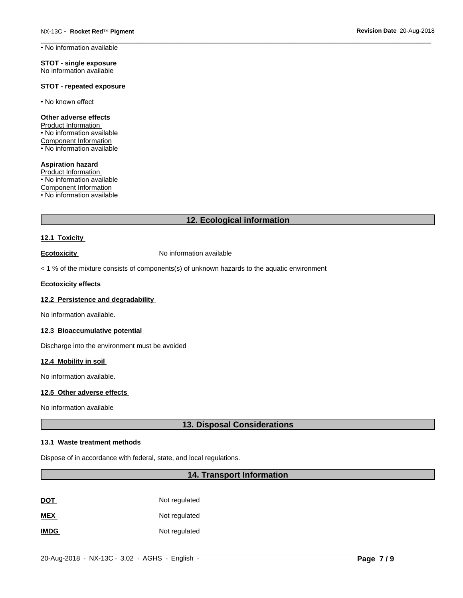• No information available

**STOT - single exposure** No information available

#### **STOT - repeated exposure**

• No known effect

#### **Other adverse effects**

Product Information • No information available Component Information • No information available

**Aspiration hazard** Product Information • No information available Component Information • No information available

# **12. Ecological information**

#### **12.1 Toxicity**

**Ecotoxicity No information available** 

 $<$  1 % of the mixture consists of components(s) of unknown hazards to the aquatic environment

#### **Ecotoxicity effects**

# **12.2 Persistence and degradability**

No information available.

#### **12.3 Bioaccumulative potential**

Discharge into the environment must be avoided

# **12.4 Mobility in soil**

No information available.

#### **12.5 Other adverse effects**

No information available

# **13. Disposal Considerations**

#### **13.1 Waste treatment methods**

Dispose of in accordance with federal, state, and local regulations.

# **14. Transport Information**

 $\_$  ,  $\_$  ,  $\_$  ,  $\_$  ,  $\_$  ,  $\_$  ,  $\_$  ,  $\_$  ,  $\_$  ,  $\_$  ,  $\_$  ,  $\_$  ,  $\_$  ,  $\_$  ,  $\_$  ,  $\_$  ,  $\_$  ,  $\_$  ,  $\_$  ,  $\_$  ,  $\_$  ,  $\_$  ,  $\_$  ,  $\_$  ,  $\_$  ,  $\_$  ,  $\_$  ,  $\_$  ,  $\_$  ,  $\_$  ,  $\_$  ,  $\_$  ,  $\_$  ,  $\_$  ,  $\_$  ,  $\_$  ,  $\_$  ,

| <b>DOT</b> | Not regulated |
|------------|---------------|
| <b>MEX</b> | Not regulated |

**IMDG** Not regulated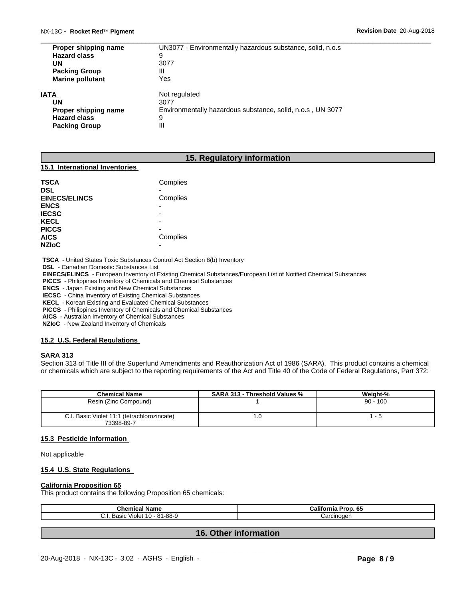| Proper shipping name    | UN3077 - Environmentally hazardous substance, solid, n.o.s |
|-------------------------|------------------------------------------------------------|
| <b>Hazard class</b>     | 9                                                          |
| UN                      | 3077                                                       |
| <b>Packing Group</b>    | Ш                                                          |
| <b>Marine pollutant</b> | Yes                                                        |
| IATA                    | Not regulated                                              |
| UN                      | 3077                                                       |
| Proper shipping name    | Environmentally hazardous substance, solid, n.o.s, UN 3077 |
| <b>Hazard class</b>     | 9                                                          |
| <b>Packing Group</b>    | Ш                                                          |

# **15. Regulatory information**

#### **15.1 International Inventories**

| TSCA                 | Complies |  |
|----------------------|----------|--|
| DSL                  |          |  |
| <b>EINECS/ELINCS</b> | Complies |  |
| <b>ENCS</b>          | -        |  |
| <b>IECSC</b>         |          |  |
| <b>KECL</b>          |          |  |
| <b>PICCS</b>         |          |  |
| AICS                 | Complies |  |
| <b>NZIoC</b>         | -        |  |

 **TSCA** - United States Toxic Substances Control Act Section 8(b) Inventory

 **DSL** - Canadian Domestic Substances List

 **EINECS/ELINCS** - European Inventory of Existing Chemical Substances/European List of Notified Chemical Substances

 **PICCS** - Philippines Inventory of Chemicals and Chemical Substances

 **ENCS** - Japan Existing and New Chemical Substances

 **IECSC** - China Inventory of Existing Chemical Substances

 **KECL** - Korean Existing and Evaluated Chemical Substances

 **PICCS** - Philippines Inventory of Chemicals and Chemical Substances

 **AICS** - Australian Inventory of Chemical Substances

 **NZIoC** - New Zealand Inventory of Chemicals

#### **15.2 U.S. Federal Regulations**

#### **SARA 313**

Section 313 of Title III of the Superfund Amendments and Reauthorization Act of 1986 (SARA). This product contains a chemical or chemicals which are subject to the reporting requirements of the Act and Title 40 of the Code of Federal Regulations, Part 372:

| <b>Chemical Name</b>                                      | <b>SARA 313 - Threshold Values %</b> | Weight-%   |
|-----------------------------------------------------------|--------------------------------------|------------|
| Resin (Zinc Compound)                                     |                                      | $90 - 100$ |
| C.I. Basic Violet 11:1 (tetrachlorozincate)<br>73398-89-7 | .u                                   |            |

#### **15.3 Pesticide Information**

Not applicable

#### **15.4 U.S. State Regulations**

#### **California Proposition 65**

This product contains the following Proposition 65 chemicals:

| 'rop. 65<br>:alito<br>ше |
|--------------------------|
| Carcinogen               |
|                          |

# **16. Other information**